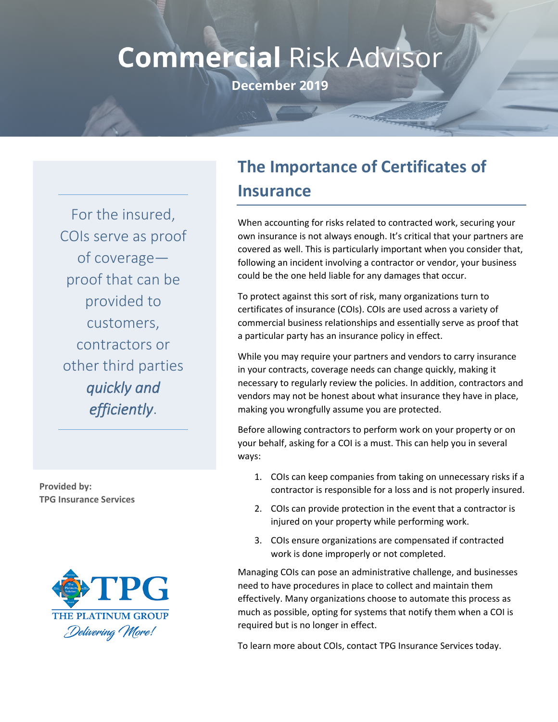## **Commercial Risk Advisor**

**December 2019** 

For the insured, COIs serve as proof of coverage proof that can be provided to customers, contractors or other third parties *quickly and efficiently*.

**Provided by: TPG Insurance Services**



## **The Importance of Certificates of Insurance**

When accounting for risks related to contracted work, securing your own insurance is not always enough. It's critical that your partners are covered as well. This is particularly important when you consider that, following an incident involving a contractor or vendor, your business could be the one held liable for any damages that occur.

To protect against this sort of risk, many organizations turn to certificates of insurance (COIs). COIs are used across a variety of commercial business relationships and essentially serve as proof that a particular party has an insurance policy in effect.

While you may require your partners and vendors to carry insurance in your contracts, coverage needs can change quickly, making it necessary to regularly review the policies. In addition, contractors and vendors may not be honest about what insurance they have in place, making you wrongfully assume you are protected.

Before allowing contractors to perform work on your property or on your behalf, asking for a COI is a must. This can help you in several ways:

- 1. COIs can keep companies from taking on unnecessary risks if a contractor is responsible for a loss and is not properly insured.
- 2. COIs can provide protection in the event that a contractor is injured on your property while performing work.
- 3. COIs ensure organizations are compensated if contracted work is done improperly or not completed.

Managing COIs can pose an administrative challenge, and businesses need to have procedures in place to collect and maintain them effectively. Many organizations choose to automate this process as much as possible, opting for systems that notify them when a COI is required but is no longer in effect.

To learn more about COIs, contact TPG Insurance Services today.